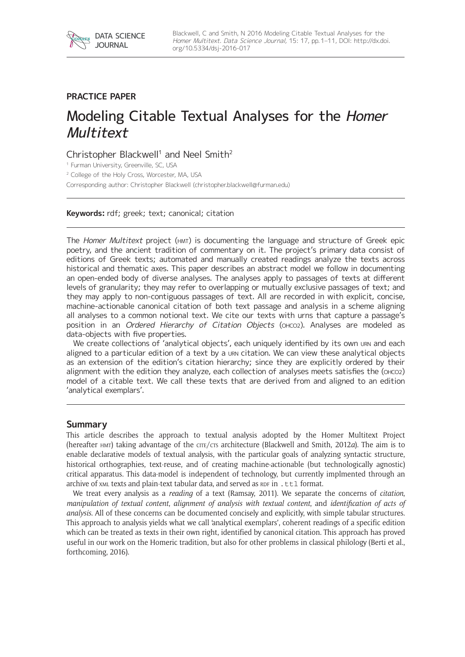

# **PRACTICE PAPER**

# Modeling Citable Textual Analyses for the Homer **Multitext**

# Christopher Blackwell<sup>1</sup> and Neel Smith<sup>2</sup>

<sup>1</sup> Furman University, Greenville, SC, USA

<sup>2</sup> College of the Holy Cross, Worcester, MA, USA

Corresponding author: Christopher Blackwell [\(christopher.blackwell@furman.edu](mailto:christopher.blackwell@furman.edu))

#### **Keywords:** rdf; greek; text; canonical; citation

The Homer Multitext project (HMT) is documenting the language and structure of Greek epic poetry, and the ancient tradition of commentary on it. The project's primary data consist of editions of Greek texts; automated and manually created readings analyze the texts across historical and thematic axes. This paper describes an abstract model we follow in documenting an open-ended body of diverse analyses. The analyses apply to passages of texts at different levels of granularity; they may refer to overlapping or mutually exclusive passages of text; and they may apply to non-contiguous passages of text. All are recorded in with explicit, concise, machine-actionable canonical citation of both text passage and analysis in a scheme aligning all analyses to a common notional text. We cite our texts with urns that capture a passage's position in an Ordered Hierarchy of Citation Objects (OHCO2). Analyses are modeled as data-objects with five properties.

We create collections of 'analytical objects', each uniquely identified by its own urn and each aligned to a particular edition of a text by a urn citation. We can view these analytical objects as an extension of the edition's citation hierarchy; since they are explicitly ordered by their alignment with the edition they analyze, each collection of analyses meets satisfies the (ohco2) model of a citable text. We call these texts that are derived from and aligned to an edition 'analytical exemplars'.

### **Summary**

This article describes the approach to textual analysis adopted by the Homer Multitext Project (hereafter hmt) taking advantage of the cite/cts architecture (Blackwell and Smith, 2012*a*). The aim is to enable declarative models of textual analysis, with the particular goals of analyzing syntactic structure, historical orthographies, text-reuse, and of creating machine-actionable (but technologically agnostic) critical apparatus. This data-model is independent of technology, but currently implmented through an archive of  $x_{ML}$  texts and plain-text tabular data, and served as  $RDF$  in . ttl format.

We treat every analysis as a *reading* of a text (Ramsay, 2011). We separate the concerns of *citation*, *manipulation of textual content*, *alignment of analysis with textual content*, and *identification of acts of analysis*. All of these concerns can be documented concisely and explicitly, with simple tabular structures. This approach to analysis yields what we call 'analytical exemplars', coherent readings of a specific edition which can be treated as texts in their own right, identified by canonical citation. This approach has proved useful in our work on the Homeric tradition, but also for other problems in classical philology (Berti et al., forthcoming, 2016).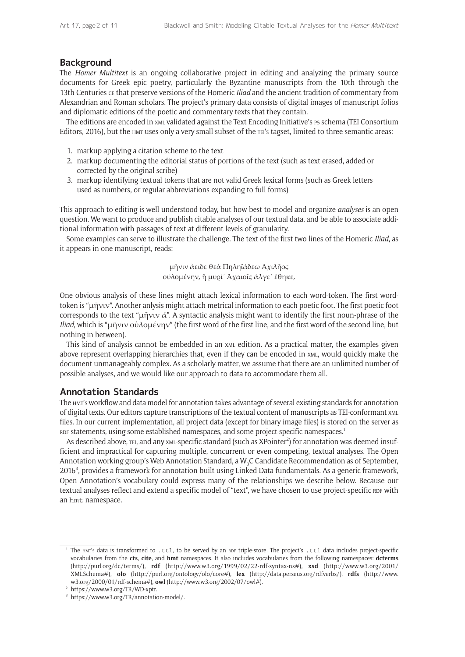### **Background**

The *Homer Multitext* is an ongoing collaborative project in editing and analyzing the primary source documents for Greek epic poetry, particularly the Byzantine manuscripts from the 10th through the 13th Centuries ce that preserve versions of the Homeric *Iliad* and the ancient tradition of commentary from Alexandrian and Roman scholars. The project's primary data consists of digital images of manuscript folios and diplomatic editions of the poetic and commentary texts that they contain.

The editions are encoded in xml validated against the Text Encoding Initiative's P5 schema (TEI Consortium Editors, 2016), but the  $H$ mt uses only a very small subset of the  $TE$ 's tagset, limited to three semantic areas:

- 1. markup applying a citation scheme to the text
- 2. markup documenting the editorial status of portions of the text (such as text erased, added or corrected by the original scribe)
- 3. markup identifying textual tokens that are not valid Greek lexical forms (such as Greek letters used as numbers, or regular abbreviations expanding to full forms)

This approach to editing is well understood today, but how best to model and organize *analyses* is an open question. We want to produce and publish citable analyses of our textual data, and be able to associate additional information with passages of text at different levels of granularity.

Some examples can serve to illustrate the challenge. The text of the first two lines of the Homeric *Iliad*, as it appears in one manuscript, reads:

> μῆνιν ἄειδε θεὰ Πηληϊάδεω Ἀχιλῆος οὐλομένην, ἣ μυρί᾽ Ἀχαιοῖς ἄλγε᾽ ἔθηκε,

One obvious analysis of these lines might attach lexical information to each word-token. The first wordtoken is "μῆνιν". Another anlysis might attach metrical information to each poetic foot. The first poetic foot corresponds to the text "μῆνιν ἄ". A syntactic analysis might want to identify the first noun-phrase of the *Iliad*, which is "μῆνιν οὐλομένην" (the first word of the first line, and the first word of the second line, but nothing in between).

This kind of analysis cannot be embedded in an xml edition. As a practical matter, the examples given above represent overlapping hierarchies that, even if they can be encoded in xml, would quickly make the document unmanageably complex. As a scholarly matter, we assume that there are an unlimited number of possible analyses, and we would like our approach to data to accommodate them all.

### **Annotation Standards**

The hmt's workflow and data model for annotation takes advantage of several existing standards for annotation of digital texts. Our editors capture transcriptions of the textual content of manuscripts as TEI-conformant xml files. In our current implementation, all project data (except for binary image files) is stored on the server as RDF statements, using some established namespaces, and some project-specific namespaces.<sup>1</sup>

As described above, тEI, and any xmL-specific standard (such as XPointer<sup>2</sup>) for annotation was deemed insufficient and impractical for capturing multiple, concurrent or even competing, textual analyses. The Open Annotation working group's Web Annotation Standard, a W<sub>2</sub>C Candidate Recommendation as of September, 20163 , provides a framework for annotation built using Linked Data fundamentals. As a generic framework, Open Annotation's vocabulary could express many of the relationships we describe below. Because our textual analyses reflect and extend a specific model of "text", we have chosen to use project-specific RDF with an hmt namespace.

The HMT's data is transformed to .ttl, to be served by an RDF triple-store. The project's .ttl data includes project-specific vocabularies from the **cts**, **cite**, and **hmt** namespaces. It also includes vocabularies from the following namespaces: **dcterms** (<http://purl.org/dc/terms/>), **rdf** (<http://www.w3.org/1999/02/22-rdf-syntax-ns#>), **xsd** ([http://www.w3.org/2001/](http://www.w3.org/2001/XMLSchema#) [XMLSchema#\)](http://www.w3.org/2001/XMLSchema#), **olo** [\(http://purl.org/ontology/olo/core#](http://purl.org/ontology/olo/core#)), **lex** [\(http://data.perseus.org/rdfverbs/\)](http://data.perseus.org/rdfverbs/), **rdfs** ([http://www.](http://www.w3.org/2000/01/rdf-schema#) [w3.org/2000/01/rdf-schema#\)](http://www.w3.org/2000/01/rdf-schema#), **owl** ([http://www.w3.org/2002/07/owl#\)](http://www.w3.org/2002/07/owl#).

<sup>2</sup> [https://www.w3.org/TR/WD-xptr.](https://www.w3.org/TR/WD-xptr)

<sup>3</sup> <https://www.w3.org/TR/annotation-model/>.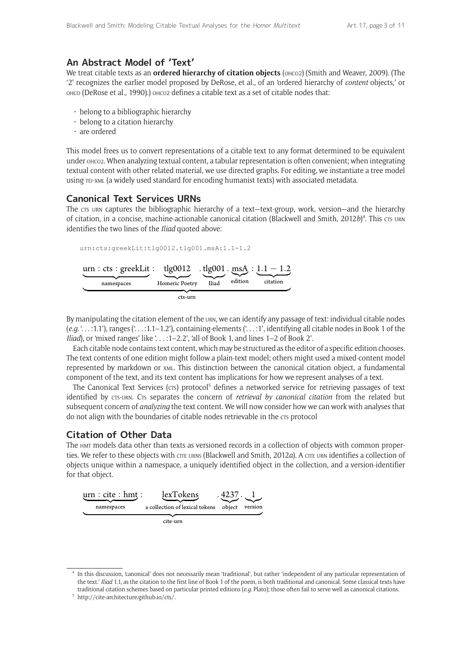### **An Abstract Model of 'Text'**

We treat citable texts as an **ordered hierarchy of citation objects** (онсо2) (Smith and Weaver, 2009). (The '2' recognizes the earlier model proposed by DeRose, et al., of an 'ordered hierarchy of *content* objects,' or ohco (DeRose et al., 1990).) ohco2 defines a citable text as a set of citable nodes that:

- belong to a bibliographic hierarchy
- belong to a citation hierarchy
- are ordered

This model frees us to convert representations of a citable text to any format determined to be equivalent under ohco2. When analyzing textual content, a tabular representation is often convenient; when integrating textual content with other related material, we use directed graphs. For editing, we instantiate a tree model using tei-xml (a widely used standard for encoding humanist texts) with associated metadata.

### **Canonical Text Services URNs**

The crs urn captures the bibliographic hierarchy of a text-text-group, work, version-and the hierarchy of citation, in a concise, machine-actionable canonical citation (Blackwell and Smith, 2012*b*)<sup>4</sup>. This cts urn identifies the two lines of the *Iliad* quoted above:

urn:cts:greekLit:tlg0012.tlg001.msA:1.1-1.2 *urn* : *cts* : *greekLit* : namespaces : **tlg0012**  $\mathbb{Z}$   $\rightarrow$ **Homeric Poetry** *. UMH* تنبيحته *\*MJBE .* <u>msA</u> ∶ <u>*1.1* **− 1.2</u>**</u>  $F<sub>effion</sub>$  $citation$  $\overbrace{\hspace{2.5cm}}$ *DUTVSO*

By manipulating the citation element of the urn, we can identify any passage of text: individual citable nodes (*e.g.* '. . . :1.1'), ranges ('. . . :1.1–1.2'), containing-elements ('. . . :1', identifying all citable nodes in Book 1 of the *Iliad*), or 'mixed ranges' like '. . . :1–2.2', 'all of Book 1, and lines 1–2 of Book 2'.

Each citable node contains text content, which may be structured as the editor of a specific edition chooses. The text contents of one edition might follow a plain-text model; others might used a mixed-content model represented by markdown or xml. This distinction between the canonical citation object, a fundamental component of the text, and its text content has implications for how we represent analyses of a text.

The Canonical Text Services (CTS) protocol<sup>5</sup> defines a networked service for retrieving passages of text identified by CTS-URN. CTS separates the concern of *retrieval by canonical citation* from the related but subsequent concern of *analyzing* the text content. We will now consider how we can work with analyses that do not align with the boundaries of citable nodes retrievable in the crs protocol

# **Citation of Other Data**

The hmt models data other than texts as versioned records in a collection of objects with common properties. We refer to these objects with cite urns (Blackwell and Smith, 2012*a*). A cite urn identifies a collection of objects unique within a namespace, a uniquely identified object in the collection, and a version-identifier for that object.



cite-urn

<sup>4</sup> In this discussion, 'canonical' does not necessarily mean 'traditional', but rather 'independent of any particular representation of the text.' *Iliad* 1.1, as the citation to the first line of Book 1 of the poem, is both traditional and canonical. Some classical texts have traditional citation schemes based on particular printed editions (*e.g.* Plato); those often fail to serve well as canonical citations.

<sup>5</sup> <http://cite-architecture.github.io/cts/>.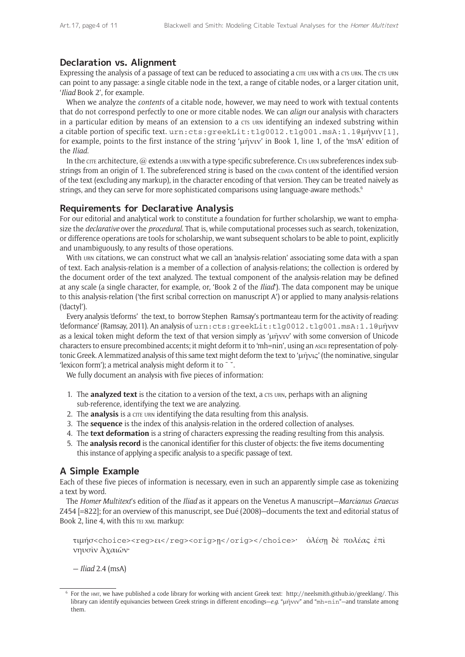# **Declaration vs. Alignment**

Expressing the analysis of a passage of text can be reduced to associating a crie urn with a crs urn. The crs urn can point to any passage: a single citable node in the text, a range of citable nodes, or a larger citation unit, '*Iliad* Book 2', for example.

When we analyze the *contents* of a citable node, however, we may need to work with textual contents that do not correspond perfectly to one or more citable nodes. We can *align* our analysis with characters in a particular edition by means of an extension to a crs urn identifying an indexed substring within a citable portion of specific text. urn:cts:greekLit:tlg0012.tlg001.msA:1.1@μῆνιν[1], for example, points to the first instance of the string 'μῆνιν' in Book 1, line 1, of the 'msA' edition of the *Iliad*.

In the cire architecture,  $@$  extends a urn with a type-specific subreference. Crs urn subreferences index substrings from an origin of 1. The subreferenced string is based on the coara content of the identified version of the text (excluding any markup), in the character encoding of that version. They can be treated naively as strings, and they can serve for more sophisticated comparisons using language-aware methods.<sup>6</sup>

# **Requirements for Declarative Analysis**

For our editorial and analytical work to constitute a foundation for further scholarship, we want to emphasize the *declarative* over the *procedural*. That is, while computational processes such as search, tokenization, or difference operations are tools for scholarship, we want subsequent scholars to be able to point, explicitly and unambiguously, to any results of those operations.

With urn citations, we can construct what we call an 'analysis-relation' associating some data with a span of text. Each analysis-relation is a member of a collection of analysis-relations; the collection is ordered by the document order of the text analyzed. The textual component of the analysis-relation may be defined at any scale (a single character, for example, or, 'Book 2 of the *Iliad*'). The data component may be unique to this analysis-relation ('the first scribal correction on manuscript A') or applied to many analysis-relations ('dactyl').

Every analysis 'deforms' the text, to borrow Stephen Ramsay's portmanteau term for the activity of reading: 'deformance' (Ramsay, 2011). An analysis of urn:cts:greekLit:tlg0012.tlg001.msA:1.1@μῆνιν as a lexical token might deform the text of that version simply as 'μῆνιν' with some conversion of Unicode characters to ensure precombined accents; it might deform it to 'mh=nin', using an ascii representation of polytonic Greek. A lemmatized analysis of this same text might deform the text to 'μῆνις' (the nominative, singular 'lexicon form'); a metrical analysis might deform it to  $\sim$ .

We fully document an analysis with five pieces of information:

- 1. The **analyzed text** is the citation to a version of the text, a crs unn, perhaps with an aligning sub-reference, identifying the text we are analyzing.
- 2. The **analysis** is a cite urn identifying the data resulting from this analysis.
- 3. The **sequence** is the index of this analysis-relation in the ordered collection of analyses.
- 4. The **text deformation** is a string of characters expressing the reading resulting from this analysis.
- 5. The **analysis record** is the canonical identifier for this cluster of objects: the five items documenting this instance of applying a specific analysis to a specific passage of text.

# **A Simple Example**

Each of these five pieces of information is necessary, even in such an apparently simple case as tokenizing a text by word.

The *Homer Multitext*'s edition of the *Iliad* as it appears on the Venetus A manuscript—*Marcianus Graecus*  Z454 [=822]; for an overview of this manuscript, see Dué (2008)—documents the text and editorial status of Book 2, line 4, with this TEI XML markup:

```
τιμήσ<choice><reg>ει</reg><orig>ῃ</orig></choice>· ὀλέσῃ δὲ πολέας ἐπὶ 
νηυσὶν Ἀχαιῶν·
```
— *Iliad* 2.4 (msA)

<sup>6</sup> For the hmt, we have published a code library for working with ancient Greek text: [http://neelsmith.github.io/greeklang/.](http://neelsmith.github.io/greeklang/) This library can identify equivancies between Greek strings in different encodings—*e.g.* "μῆνιν" and "mh=nin"—and translate among them.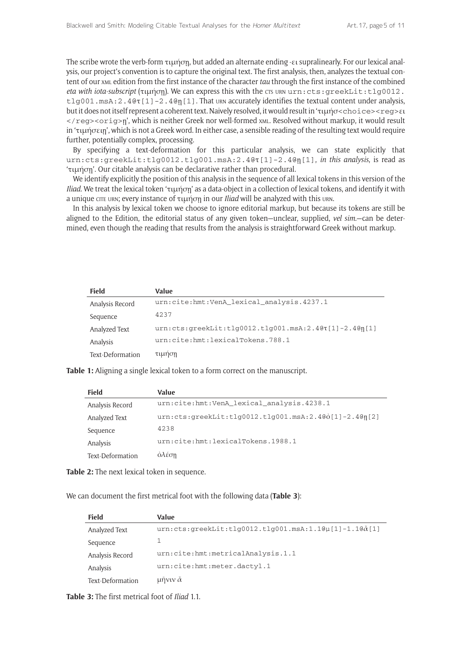The scribe wrote the verb-form τιμήσῃ, but added an alternate ending -ει supralinearly. For our lexical analysis, our project's convention is to capture the original text. The first analysis, then, analyzes the textual content of our xml edition from the first instance of the character *tau* through the first instance of the combined *eta with iota-subscript* (τιμήση). We can express this with the cts urn urn:cts: greekLit:tlg0012. tlg001.msA:2.4@τ[1]-2.4@ῃ[1]. That urn accurately identifies the textual content under analysis, but it does not itself represent a coherent text. Naively resolved, it would result in 'τιμήσ<choice><reg>ει </reg><orig>ῃ', which is neither Greek nor well-formed xml. Resolved without markup, it would result in 'τιμήσειῃ', which is not a Greek word. In either case, a sensible reading of the resulting text would require further, potentially complex, processing.

By specifying a text-deformation for this particular analysis, we can state explicitly that urn:cts:greekLit:tlg0012.tlg001.msA:2.4@τ[1]-2.4@ῃ[1], *in this analysis*, is read as 'τιμήσῃ'. Our citable analysis can be declarative rather than procedural.

We identify explicitly the position of this analysis in the sequence of all lexical tokens in this version of the *Iliad*. We treat the lexical token 'τιμήσῃ' as a data-object in a collection of lexical tokens, and identify it with a unique cite urn; every instance of τιμήση in our *Iliad* will be analyzed with this urn.

In this analysis by lexical token we choose to ignore editorial markup, but because its tokens are still be aligned to the Edition, the editorial status of any given token—unclear, supplied, *vel sim.*—can be determined, even though the reading that results from the analysis is straightforward Greek without markup.

| <b>Field</b>     | Value                                                   |
|------------------|---------------------------------------------------------|
| Analysis Record  | urn:cite:hmt:VenA lexical analysis.4237.1               |
| Sequence         | 4237                                                    |
| Analyzed Text    | $urn:cts:greekLit:tlg0012.tlg001.msA:2.4@τ[1]-2.4@η[1]$ |
| Analysis         | urn:cite:hmt:lexicalTokens.788.1                        |
| Text-Deformation | τιμηση                                                  |

**Table 1:** Aligning a single lexical token to a form correct on the manuscript.

| <b>Field</b>     | Value                                                   |
|------------------|---------------------------------------------------------|
| Analysis Record  | urn:cite:hmt:VenA_lexical_analysis.4238.1               |
| Analyzed Text    | $urn:cts:qreekLit:t1q0012.t1q001.msA:2.4@o[1]-2.4@n[2]$ |
| Sequence         | 4238                                                    |
| Analysis         | urn:cite:hmt:lexicalTokens.1988.1                       |
| Text-Deformation | $\partial$ λέση                                         |

**Table 2:** The next lexical token in sequence.

We can document the first metrical foot with the following data (**Table 3**):

| <b>Field</b>     | Value                                                    |
|------------------|----------------------------------------------------------|
| Analyzed Text    | $urn:cts:qreekList:t1q0012.t1q001.msA:1.1@u[1]-1.1@a[1]$ |
| Sequence         |                                                          |
| Analysis Record  | urn:cite:hmt:metricalAnalysis.1.1                        |
| Analysis         | urn:cite:hmt:meter.dactyl.1                              |
| Text-Deformation | μηνιν $\check{\alpha}$                                   |

**Table 3:** The first metrical foot of *Iliad* 1.1.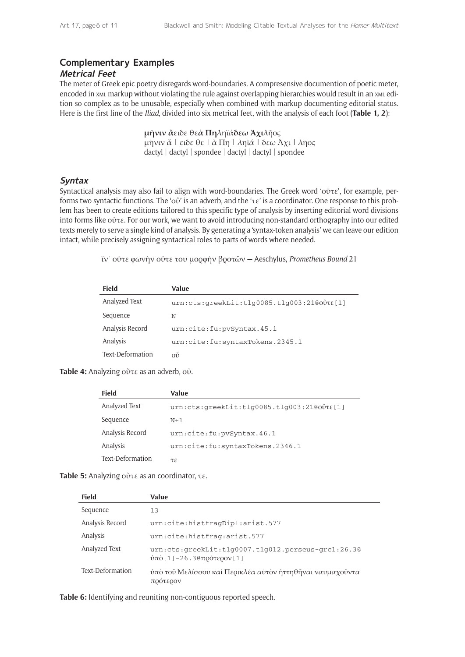# **Complementary Examples**

### **Metrical Feet**

The meter of Greek epic poetry disregards word-boundaries. A compresensive documention of poetic meter, encoded in xml markup without violating the rule against overlapping hierarchies would result in an xml edition so complex as to be unusable, especially when combined with markup documenting editorial status. Here is the first line of the *Iliad*, divided into six metrical feet, with the analysis of each foot (**Table 1, 2**):

> **μῆνιν ἄ**ειδε θε**ὰ Πη**ληϊά**δεω Ἀχι**λῆος μῆνιν ἄ | ειδε θε | ὰ Πη | ληϊά | δεω Ἀχι | λῆος dactyl | dactyl | spondee | dactyl | dactyl | spondee

### **Syntax**

Syntactical analysis may also fail to align with word-boundaries. The Greek word 'οὔτε', for example, performs two syntactic functions. The 'οὔ' is an adverb, and the 'τε' is a coordinator. One response to this problem has been to create editions tailored to this specific type of analysis by inserting editorial word divisions into forms like οὔτε. For our work, we want to avoid introducing non-standard orthography into our edited texts merely to serve a single kind of analysis. By generating a 'syntax-token analysis' we can leave our edition intact, while precisely assigning syntactical roles to parts of words where needed.

ἵν᾽ οὔτε φωνὴν οὔτε του μορφὴν βροτῶν — Aeschylus, *Prometheus Bound* 21

| Field            | Value                                      |
|------------------|--------------------------------------------|
| Analyzed Text    | urn:cts:greekLit:tlg0085.tlg003:21@ovt&[1] |
| Sequence         | Ν                                          |
| Analysis Record  | urn:cite:fu:pvSyntax.45.1                  |
| Analysis         | urn:cite:fu:syntaxTokens.2345.1            |
| Text-Deformation | оĎ                                         |

**Table 4:** Analyzing οὔτε as an adverb, οὐ.

| <b>Field</b>     | Value                                      |
|------------------|--------------------------------------------|
| Analyzed Text    | urn:cts:greekLit:tlg0085.tlg003:21@ovt&[1] |
| Sequence         | $N+1$                                      |
| Analysis Record  | urn:cite:fu:pvSyntax.46.1                  |
| Analysis         | urn:cite:fu:syntaxTokens.2346.1            |
| Text-Deformation | τε                                         |

**Table 5:** Analyzing οὔτε as an coordinator, τε.

| <b>Field</b>     | Value                                                                              |
|------------------|------------------------------------------------------------------------------------|
| Sequence         | 13                                                                                 |
| Analysis Record  | urn:cite:histfragDipl:arist.577                                                    |
| Analysis         | urn:cite:histfrag:arist.577                                                        |
| Analyzed Text    | $urn:cts:greekLit:t1q0007.t1q012.perseus-qrc1:26.3@$<br>ύπὸ [1] -26.3@πρότερον [1] |
| Text-Deformation | ύπὸ τοῦ Μελίσσου καὶ Περικλέα αὐτὸν ἡττηθῆναι ναυμαχοῦντα<br>πρότερον              |

**Table 6:** Identifying and reuniting non-contiguous reported speech.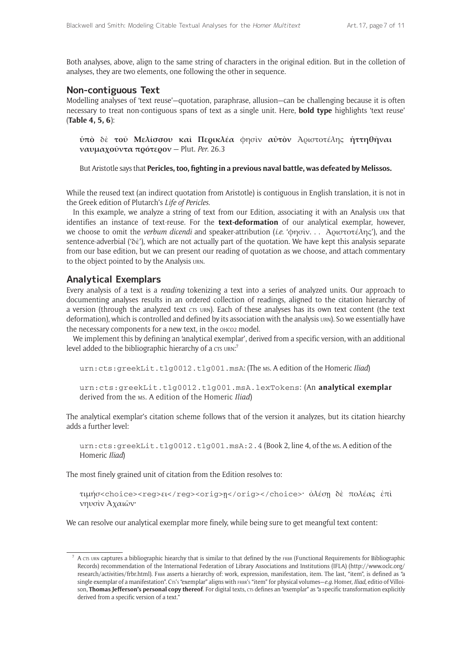Both analyses, above, align to the same string of characters in the original edition. But in the colletion of analyses, they are two elements, one following the other in sequence.

### **Non-contiguous Text**

Modelling analyses of 'text reuse'—quotation, paraphrase, allusion—can be challenging because it is often necessary to treat non-contiguous spans of text as a single unit. Here, **bold type** highlights 'text reuse' (**Table 4, 5, 6**):

**ὑπὸ** δὲ **τοῦ Μελίσσου καὶ Περικλέα** φησὶν **αὐτὸν** Ἀριστοτέλης **ἡττηθῆναι ναυμαχοῦντα πρότερον** — Plut. *Per.* 26.3

But Aristotle says that **Pericles, too, fighting in a previous naval battle, was defeated by Melissos.**

While the reused text (an indirect quotation from Aristotle) is contiguous in English translation, it is not in the Greek edition of Plutarch's *Life of Pericles*.

In this example, we analyze a string of text from our Edition, associating it with an Analysis urn that identifies an instance of text-reuse. For the **text-deformation** of our analytical exemplar, however, we choose to omit the *verbum dicendi* and speaker-attribution (*i.e.* 'φησὶν. . . Ἀριστοτέλης'), and the sentence-adverbial ('δὲ'), which are not actually part of the quotation. We have kept this analysis separate from our base edition, but we can present our reading of quotation as we choose, and attach commentary to the object pointed to by the Analysis urn.

### **Analytical Exemplars**

Every analysis of a text is a *reading* tokenizing a text into a series of analyzed units. Our approach to documenting analyses results in an ordered collection of readings, aligned to the citation hierarchy of a version (through the analyzed text CTS URN). Each of these analyses has its own text content (the text deformation), which is controlled and defined by its association with the analysis urn). So we essentially have the necessary components for a new text, in the OHCO2 model.

We implement this by defining an 'analytical exemplar', derived from a specific version, with an additional level added to the bibliographic hierarchy of a crs URN:<sup>7</sup>

urn:cts:greekLit.tlg0012.tlg001.msA: (The ms. A edition of the Homeric *Iliad*)

```
urn:cts:greekLit.tlg0012.tlg001.msA.lexTokens: (An analytical exemplar
derived from the ms. A edition of the Homeric Iliad)
```
The analytical exemplar's citation scheme follows that of the version it analyzes, but its citation hiearchy adds a further level:

urn:cts:greekLit.tlg0012.tlg001.msA:2.4 (Book 2, line 4, of the ms. A edition of the Homeric *Iliad*)

The most finely grained unit of citation from the Edition resolves to:

τιμήσ<choice><reg>ει</reg><orig>ῃ</orig></choice>· ὀλέσῃ δὲ πολέας ἐπὶ νηυσὶν Ἀχαιῶν·

We can resolve our analytical exemplar more finely, while being sure to get meangful text content:

 $^7$  A crs urn captures a bibliographic hiearchy that is similar to that defined by the FRBR (Functional Requirements for Bibliographic Records) recommendation of the International Federation of Library Associations and Institutions (IFLA) ([http://www.oclc.org/](http://www.oclc.org/research/activities/frbr.html) [research/activities/frbr.html\)](http://www.oclc.org/research/activities/frbr.html). FRBR asserts a hierarchy of: work, expression, manifestation, item. The last, "item", is defined as "a single exemplar of a manifestation". Crs's "exemplar" aligns with FRBR's "item" for physical volumes—e.q. Homer, *Iliad*, editio of Villoison, **Thomas Jefferson's personal copy thereof**. For digital texts, crs defines an "exemplar" as "a specific transformation explicitly derived from a specific version of a text."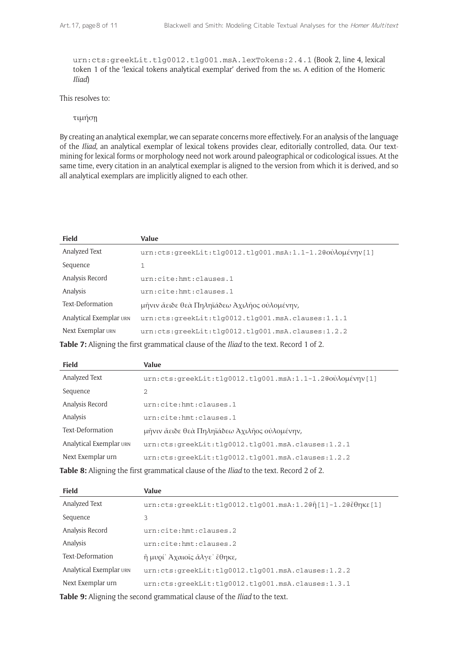urn:cts:greekLit.tlg0012.tlg001.msA.lexTokens:2.4.1 (Book 2, line 4, lexical token 1 of the 'lexical tokens analytical exemplar' derived from the ms. A edition of the Homeric *Iliad*)

This resolves to:

τιμήσῃ

By creating an analytical exemplar, we can separate concerns more effectively. For an analysis of the language of the *Iliad*, an analytical exemplar of lexical tokens provides clear, editorially controlled, data. Our textmining for lexical forms or morphology need not work around paleographical or codicological issues. At the same time, every citation in an analytical exemplar is aligned to the version from which it is derived, and so all analytical exemplars are implicitly aligned to each other.

| <b>Field</b>                                                                                          | Value                                                      |
|-------------------------------------------------------------------------------------------------------|------------------------------------------------------------|
| Analyzed Text                                                                                         | $urn:cts:greekLit:t1q0012.t1q001.msA:1.1-1.2@oùλoμένην[1]$ |
| Sequence                                                                                              | $\mathbf{1}$                                               |
| Analysis Record                                                                                       | urn:cite:hmt:clauses.1                                     |
| Analysis                                                                                              | urn:cite:hmt:clauses.1                                     |
| Text-Deformation                                                                                      | μῆνιν ἄειδε θεὰ Πηληϊάδεω Αχιλῆος οὐλομένην,               |
| Analytical Exemplar URN                                                                               | urn:cts:greekLit:tlg0012.tlg001.msA.clauses:1.1.1          |
| Next Exemplar URN                                                                                     | $urn:cts:greekLit:t1q0012.t1q001.msA.class:1.2.2$          |
| <b>Table 7:</b> Aligning the first grammatical clause of the <i>Iliad</i> to the text. Record 1 of 2. |                                                            |

| Field                                                                                          | Value                                                       |
|------------------------------------------------------------------------------------------------|-------------------------------------------------------------|
| Analyzed Text                                                                                  | $urn:cts:qreekList:t1q0012.t1q001.mSA:1.1-1.2@oùAouévny[1]$ |
| Sequence                                                                                       | $\overline{2}$                                              |
| Analysis Record                                                                                | urn:cite:hmt:clauses.1                                      |
| Analysis                                                                                       | urn:cite:hmt:clauses.1                                      |
| Text-Deformation                                                                               | μῆνιν ἄειδε θεὰ Πηληϊάδεω Ἀχιλῆος οὐλομένην,                |
| Analytical Exemplar URN                                                                        | $urn:cts:greekLit:t1q0012.t1q001.msA.class:1.2.1$           |
| Next Exemplar urn                                                                              | $urn:cts:greekLit:t1q0012.t1q001.msA.class:1.2.2$           |
| Table 8: Aligning the first grammatical clause of the <i>Iliad</i> to the text. Record 2 of 2. |                                                             |

| <b>Field</b>            | Value                                                     |
|-------------------------|-----------------------------------------------------------|
| Analyzed Text           | urn:cts:greekLit:tlg0012.tlg001.msA:1.2@ή[1]-1.2@έθηκε[1] |
| Sequence                | 3                                                         |
| Analysis Record         | urn:cite:hmt:clauses.2                                    |
| Analysis                | urn:cite:hmt:clauses.2                                    |
| Text-Deformation        | η μυρί' Αχαιοΐς άλγε' έθηκε,                              |
| Analytical Exemplar URN | $urn:cts:greekLit:tlq0012.tlq001.msA.class:1.2.2$         |
| Next Exemplar urn       | $urn:cts:greekLit:tlq0012.tlq001.msA.class:1.3.1$         |
|                         | $\blacksquare$                                            |

**Table 9:** Aligning the second grammatical clause of the *Iliad* to the text.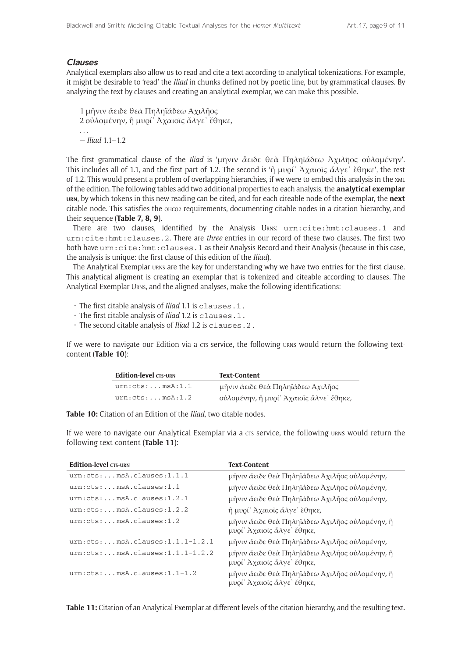#### **Clauses**

Analytical exemplars also allow us to read and cite a text according to analytical tokenizations. For example, it might be desirable to 'read' the *Iliad* in chunks defined not by poetic line, but by grammatical clauses. By analyzing the text by clauses and creating an analytical exemplar, we can make this possible.

1 μῆνιν ἄειδε θεὰ Πηληϊάδεω Ἀχιλῆος 2 οὐλομένην, ἣ μυρί᾽ Ἀχαιοῖς ἄλγε᾽ ἔθηκε, . . . — *Iliad* 1.1–1.2

The first grammatical clause of the *Iliad* is 'μῆνιν ἄειδε θεὰ Πηληϊάδεω Ἀχιλῆος οὐλομένην'. This includes all of 1.1, and the first part of 1.2. The second is 'ἣ μυρί<sup>'</sup> Άχαιοῖς ἄλγε<sup>'</sup> ἔθηκε', the rest of 1.2. This would present a problem of overlapping hierarchies, if we were to embed this analysis in the xml of the edition. The following tables add two additional properties to each analysis, the **analytical exemplar urn**, by which tokens in this new reading can be cited, and for each citeable node of the exemplar, the **next** citable node. This satisfies the ohco2 requirements, documenting citable nodes in a citation hierarchy, and their sequence (**Table 7, 8, 9**).

There are two clauses, identified by the Analysis URNS: urn:cite:hmt:clauses.1 and urn:cite:hmt:clauses.2. There are *three* entries in our record of these two clauses. The first two both have urn:cite:hmt:clauses.1 as their Analysis Record and their Analysis (because in this case, the analysis is unique: the first clause of this edition of the *Iliad*).

The Analytical Exemplar urns are the key for understanding why we have two entries for the first clause. This analytical aligment is creating an exemplar that is tokenized and citeable according to clauses. The Analytical Exemplar Urns, and the aligned analyses, make the following identifications:

• The first citable analysis of *Iliad* 1.1 is clauses.1.

• The first citable analysis of *Iliad* 1.2 is clauses.1.

• The second citable analysis of *Iliad* 1.2 is clauses.2.

If we were to navigate our Edition via a crs service, the following urns would return the following textcontent (**Table 10**):

| <b>Edition-level CTS-URN</b> | <b>Text-Content</b>                     |
|------------------------------|-----------------------------------------|
| urn:cts:msA:1.1              | μῆνιν ἀειδε θεὰ Πηληϊάδεω Αχιλῆος       |
| urn:cts:msA:1.2              | ούλομένην, η μυρί' Αχαιοΐς άλγε' έθηκε, |

**Table 10:** Citation of an Edition of the *Iliad*, two citable nodes.

If we were to navigate our Analytical Exemplar via a crs service, the following urns would return the following text-content (**Table 11**):

| <b>Text-Content</b>                                                          |
|------------------------------------------------------------------------------|
| μῆνιν ἄειδε θεὰ Πηληϊάδεω Ἀχιλῆος οὐλομένην,                                 |
| μῆνιν ἄειδε θεὰ Πηληϊάδεω Ἀχιλῆος οὐλομένην,                                 |
| μῆνιν ἀειδε θεὰ Πηληϊάδεω Αχιλῆος οὐλομένην,                                 |
| $η$ μυρί' Αχαιοίς άλγε' έθηκε,                                               |
| μῆνιν ἄειδε θεὰ Πηληϊάδεω Αχιλῆος οὐλομένην, ἣ<br>μυρί' Αχαιοΐς άλγε' έθηκε, |
| μῆνιν ἀειδε θεὰ Πηληϊάδεω Αχιλῆος οὐλομένην,                                 |
| μῆνιν ἄειδε θεὰ Πηληϊάδεω Αχιλῆος οὐλομένην, ἣ<br>μυρί' Αχαιοΐς άλγε' έθηκε, |
| μῆνιν ἄειδε θεὰ Πηληϊάδεω Αχιλῆος οὐλομένην, ἣ<br>μυρί' Αχαιοΐς άλγε' έθηκε, |
|                                                                              |

**Table 11:** Citation of an Analytical Exemplar at different levels of the citation hierarchy, and the resulting text.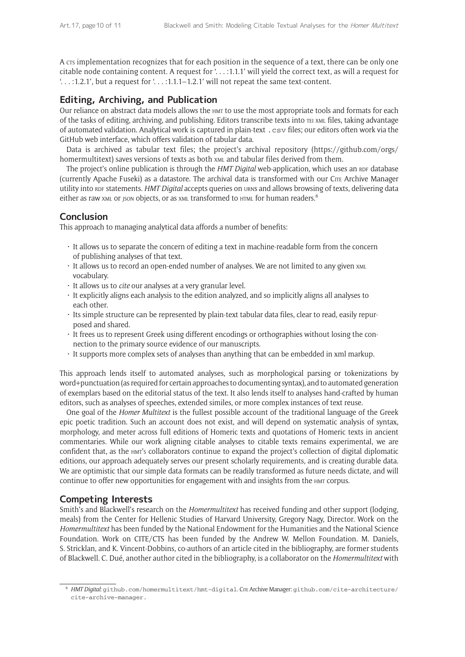A crs implementation recognizes that for each position in the sequence of a text, there can be only one citable node containing content. A request for '. . . :1.1.1' will yield the correct text, as will a request for '. . . :1.2.1', but a request for '. . . :1.1.1–1.2.1' will not repeat the same text-content.

# **Editing, Archiving, and Publication**

Our reliance on abstract data models allows the HMT to use the most appropriate tools and formats for each of the tasks of editing, archiving, and publishing. Editors transcribe texts into tei xml files, taking advantage of automated validation. Analytical work is captured in plain-text .csv files; our editors often work via the GitHub web interface, which offers validation of tabular data.

Data is archived as tabular text files; the project's archival repository ([https://github.com/orgs/](https://github.com/orgs/homermultitext) [homermultitext\)](https://github.com/orgs/homermultitext) saves versions of texts as both  $x_{ML}$  and tabular files derived from them.

The project's online publication is through the *HMT Digital* web-application, which uses an RDF database (currently Apache Fuseki) as a datastore. The archival data is transformed with our CITE Archive Manager utility into RDF statements. *HMT Digital* accepts queries on urns and allows browsing of texts, delivering data either as raw xml or json objects, or as xml transformed to HTML for human readers.<sup>8</sup>

# **Conclusion**

This approach to managing analytical data affords a number of benefits:

- It allows us to separate the concern of editing a text in machine-readable form from the concern of publishing analyses of that text.
- It allows us to record an open-ended number of analyses. We are not limited to any given xML vocabulary.
- It allows us to *cite* our analyses at a very granular level.
- It explicitly aligns each analysis to the edition analyzed, and so implicitly aligns all analyses to each other.
- Its simple structure can be represented by plain-text tabular data files, clear to read, easily repurposed and shared.
- It frees us to represent Greek using different encodings or orthographies without losing the connection to the primary source evidence of our manuscripts.
- It supports more complex sets of analyses than anything that can be embedded in xml markup.

This approach lends itself to automated analyses, such as morphological parsing or tokenizations by word+punctuation (as required for certain approaches to documenting syntax), and to automated generation of exemplars based on the editorial status of the text. It also lends itself to analyses hand-crafted by human editors, such as analyses of speeches, extended similes, or more complex instances of text reuse.

One goal of the *Homer Multitext* is the fullest possible account of the traditional language of the Greek epic poetic tradition. Such an account does not exist, and will depend on systematic analysis of syntax, morphology, and meter across full editions of Homeric texts and quotations of Homeric texts in ancient commentaries. While our work aligning citable analyses to citable texts remains experimental, we are confident that, as the hmt's collaborators continue to expand the project's collection of digital diplomatic editions, our approach adequately serves our present scholarly requirements, and is creating durable data. We are optimistic that our simple data formats can be readily transformed as future needs dictate, and will continue to offer new opportunities for engagement with and insights from the hmt corpus.

# **Competing Interests**

Smith's and Blackwell's research on the *Homermultitext* has received funding and other support (lodging, meals) from the Center for Hellenic Studies of Harvard University, Gregory Nagy, Director. Work on the *Homermultitext* has been funded by the National Endowment for the Humanities and the National Science Foundation. Work on CITE/CTS has been funded by the Andrew W. Mellon Foundation. M. Daniels, S. Stricklan, and K. Vincent-Dobbins, co-authors of an article cited in the bibliography, are former students of Blackwell. C. Dué, another author cited in the bibliography, is a collaborator on the *Homermultitext* with

<sup>8</sup> *HMT Digital*: [github.com/homermultitext/hmt-digital](https://github.com/homermultitext/hmt-digital). Cmt Archive Manager: [github.com/cite-architecture/](https://github.com/cite-architecture/cite-archive-manager) [cite-archive-manager.](https://github.com/cite-architecture/cite-archive-manager)